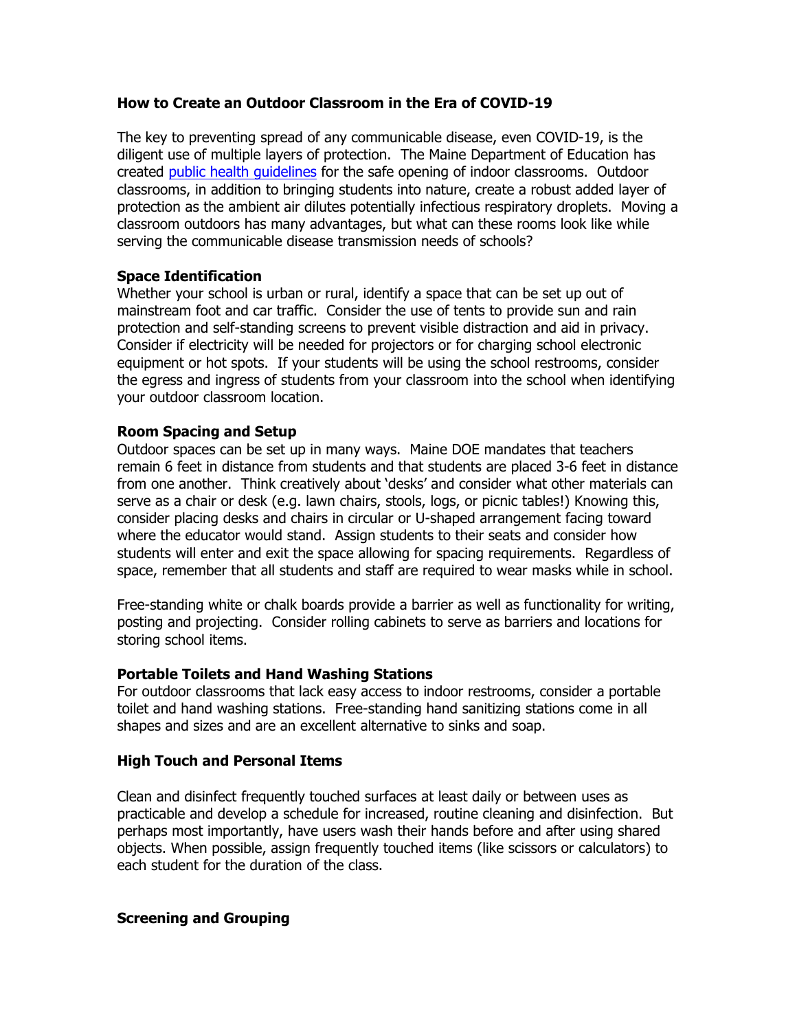## **How to Create an Outdoor Classroom in the Era of COVID-19**

The key to preventing spread of any communicable disease, even COVID-19, is the diligent use of multiple layers of protection. The Maine Department of Education has created public health guidelines for the safe opening of indoor classrooms. Outdoor classrooms, in addition to bringing students into nature, create a robust added layer of protection as the ambient air dilutes potentially infectious respiratory droplets. Moving a classroom outdoors has many advantages, but what can these rooms look like while serving the communicable disease transmission needs of schools?

## **Space Identification**

Whether your school is urban or rural, identify a space that can be set up out of mainstream foot and car traffic. Consider the use of tents to provide sun and rain protection and self-standing screens to prevent visible distraction and aid in privacy. Consider if electricity will be needed for projectors or for charging school electronic equipment or hot spots. If your students will be using the school restrooms, consider the egress and ingress of students from your classroom into the school when identifying your outdoor classroom location.

#### **Room Spacing and Setup**

Outdoor spaces can be set up in many ways. Maine DOE mandates that teachers remain 6 feet in distance from students and that students are placed 3-6 feet in distance from one another. Think creatively about 'desks' and consider what other materials can serve as a chair or desk (e.g. lawn chairs, stools, logs, or picnic tables!) Knowing this, consider placing desks and chairs in circular or U-shaped arrangement facing toward where the educator would stand. Assign students to their seats and consider how students will enter and exit the space allowing for spacing requirements. Regardless of space, remember that all students and staff are required to wear masks while in school.

Free-standing white or chalk boards provide a barrier as well as functionality for writing, posting and projecting. Consider rolling cabinets to serve as barriers and locations for storing school items.

## **Portable Toilets and Hand Washing Stations**

For outdoor classrooms that lack easy access to indoor restrooms, consider a portable toilet and hand washing stations. Free-standing hand sanitizing stations come in all shapes and sizes and are an excellent alternative to sinks and soap.

## **High Touch and Personal Items**

Clean and disinfect frequently touched surfaces at least daily or between uses as practicable and develop a schedule for increased, routine cleaning and disinfection. But perhaps most importantly, have users wash their hands before and after using shared objects. When possible, assign frequently touched items (like scissors or calculators) to each student for the duration of the class.

#### **Screening and Grouping**